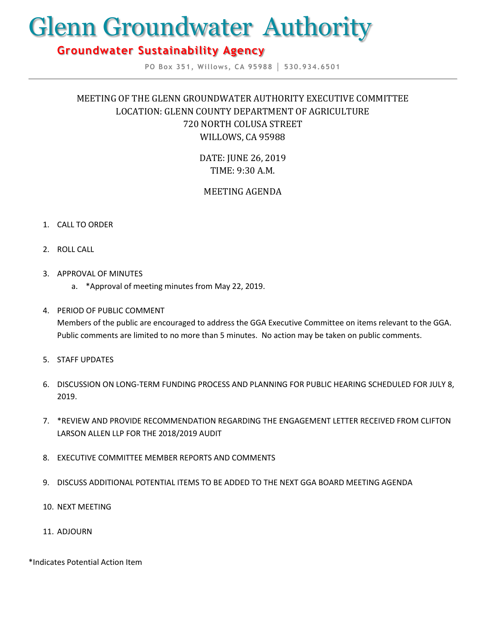# Glenn Groundwater Authority

# **Groundwater Sustainability Agency**

**PO Box 351, Willows, CA 95988 │ 530.934.6501**

## MEETING OF THE GLENN GROUNDWATER AUTHORITY EXECUTIVE COMMITTEE LOCATION: GLENN COUNTY DEPARTMENT OF AGRICULTURE 720 NORTH COLUSA STREET WILLOWS, CA 95988

DATE: JUNE 26, 2019 TIME: 9:30 A.M.

## MEETING AGENDA

#### 1. CALL TO ORDER

- 2. ROLL CALL
- 3. APPROVAL OF MINUTES
	- a. \*Approval of meeting minutes from May 22, 2019.

### 4. PERIOD OF PUBLIC COMMENT

Members of the public are encouraged to address the GGA Executive Committee on items relevant to the GGA. Public comments are limited to no more than 5 minutes. No action may be taken on public comments.

- 5. STAFF UPDATES
- 6. DISCUSSION ON LONG-TERM FUNDING PROCESS AND PLANNING FOR PUBLIC HEARING SCHEDULED FOR JULY 8, 2019.
- 7. \*REVIEW AND PROVIDE RECOMMENDATION REGARDING THE ENGAGEMENT LETTER RECEIVED FROM CLIFTON LARSON ALLEN LLP FOR THE 2018/2019 AUDIT
- 8. EXECUTIVE COMMITTEE MEMBER REPORTS AND COMMENTS
- 9. DISCUSS ADDITIONAL POTENTIAL ITEMS TO BE ADDED TO THE NEXT GGA BOARD MEETING AGENDA
- 10. NEXT MEETING
- 11. ADJOURN

\*Indicates Potential Action Item